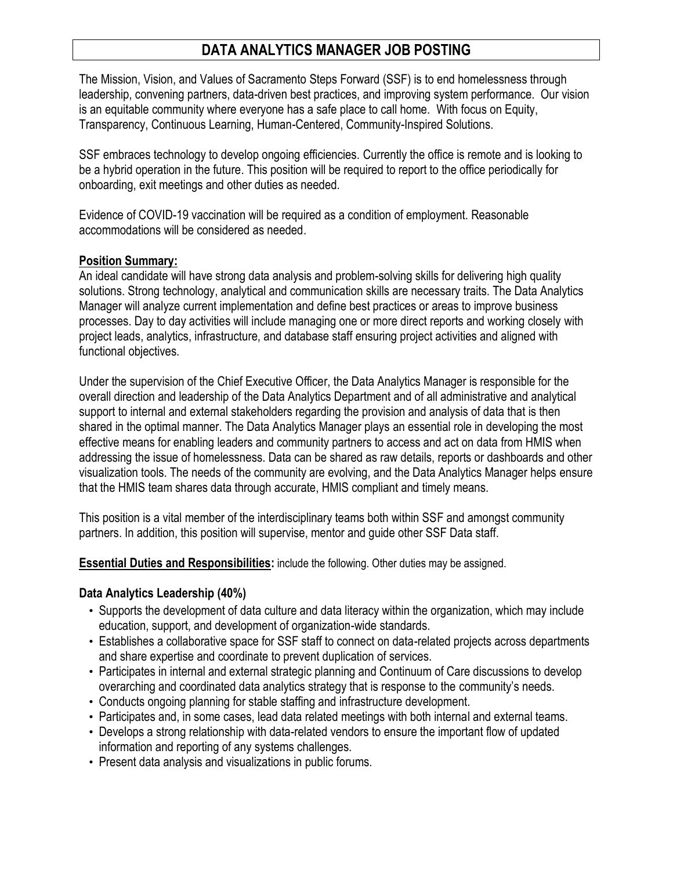# **DATA ANALYTICS MANAGER JOB POSTING**

The Mission, Vision, and Values of Sacramento Steps Forward (SSF) is to end homelessness through leadership, convening partners, data-driven best practices, and improving system performance. Our vision is an equitable community where everyone has a safe place to call home. With focus on Equity, Transparency, Continuous Learning, Human-Centered, Community-Inspired Solutions.

SSF embraces technology to develop ongoing efficiencies. Currently the office is remote and is looking to be a hybrid operation in the future. This position will be required to report to the office periodically for onboarding, exit meetings and other duties as needed.

Evidence of COVID-19 vaccination will be required as a condition of employment. Reasonable accommodations will be considered as needed.

#### **Position Summary:**

An ideal candidate will have strong data analysis and problem-solving skills for delivering high quality solutions. Strong technology, analytical and communication skills are necessary traits. The Data Analytics Manager will analyze current implementation and define best practices or areas to improve business processes. Day to day activities will include managing one or more direct reports and working closely with project leads, analytics, infrastructure, and database staff ensuring project activities and aligned with functional objectives.

Under the supervision of the Chief Executive Officer, the Data Analytics Manager is responsible for the overall direction and leadership of the Data Analytics Department and of all administrative and analytical support to internal and external stakeholders regarding the provision and analysis of data that is then shared in the optimal manner. The Data Analytics Manager plays an essential role in developing the most effective means for enabling leaders and community partners to access and act on data from HMIS when addressing the issue of homelessness. Data can be shared as raw details, reports or dashboards and other visualization tools. The needs of the community are evolving, and the Data Analytics Manager helps ensure that the HMIS team shares data through accurate, HMIS compliant and timely means.

This position is a vital member of the interdisciplinary teams both within SSF and amongst community partners. In addition, this position will supervise, mentor and guide other SSF Data staff.

**Essential Duties and Responsibilities:** include the following. Other duties may be assigned.

### **Data Analytics Leadership (40%)**

- Supports the development of data culture and data literacy within the organization, which may include education, support, and development of organization-wide standards.
- Establishes a collaborative space for SSF staff to connect on data-related projects across departments and share expertise and coordinate to prevent duplication of services.
- Participates in internal and external strategic planning and Continuum of Care discussions to develop overarching and coordinated data analytics strategy that is response to the community's needs.
- Conducts ongoing planning for stable staffing and infrastructure development.
- Participates and, in some cases, lead data related meetings with both internal and external teams.
- Develops a strong relationship with data-related vendors to ensure the important flow of updated information and reporting of any systems challenges.
- Present data analysis and visualizations in public forums.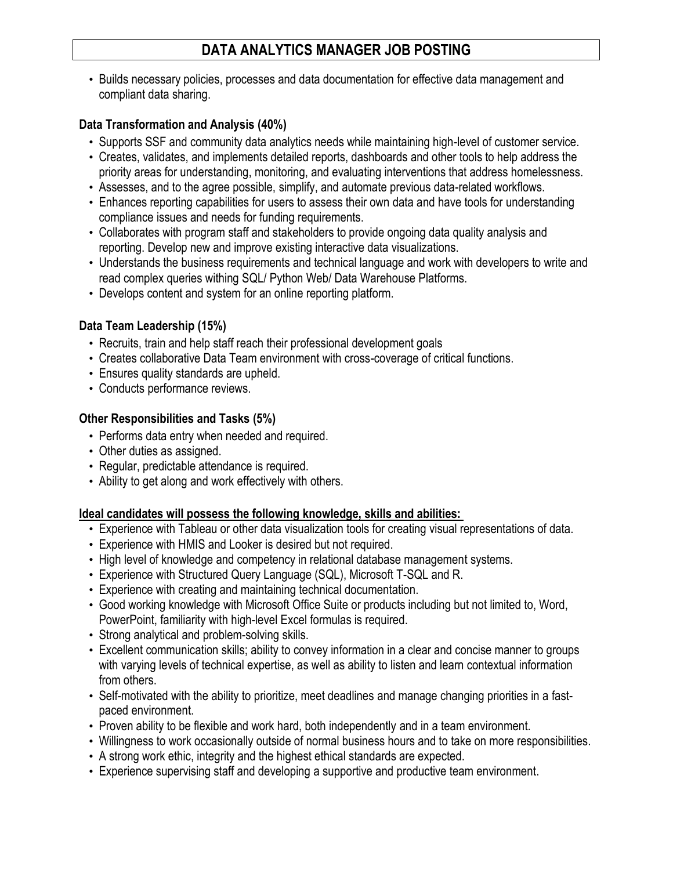# **DATA ANALYTICS MANAGER JOB POSTING**

• Builds necessary policies, processes and data documentation for effective data management and compliant data sharing.

## **Data Transformation and Analysis (40%)**

- Supports SSF and community data analytics needs while maintaining high-level of customer service.
- Creates, validates, and implements detailed reports, dashboards and other tools to help address the priority areas for understanding, monitoring, and evaluating interventions that address homelessness.
- Assesses, and to the agree possible, simplify, and automate previous data-related workflows.
- Enhances reporting capabilities for users to assess their own data and have tools for understanding compliance issues and needs for funding requirements.
- Collaborates with program staff and stakeholders to provide ongoing data quality analysis and reporting. Develop new and improve existing interactive data visualizations.
- Understands the business requirements and technical language and work with developers to write and read complex queries withing SQL/ Python Web/ Data Warehouse Platforms.
- Develops content and system for an online reporting platform.

## **Data Team Leadership (15%)**

- Recruits, train and help staff reach their professional development goals
- Creates collaborative Data Team environment with cross-coverage of critical functions.
- Ensures quality standards are upheld.
- Conducts performance reviews.

### **Other Responsibilities and Tasks (5%)**

- Performs data entry when needed and required.
- Other duties as assigned.
- Regular, predictable attendance is required.
- Ability to get along and work effectively with others.

## **Ideal candidates will possess the following knowledge, skills and abilities:**

- Experience with Tableau or other data visualization tools for creating visual representations of data.
- Experience with HMIS and Looker is desired but not required.
- High level of knowledge and competency in relational database management systems.
- Experience with Structured Query Language (SQL), Microsoft T-SQL and R.
- Experience with creating and maintaining technical documentation.
- Good working knowledge with Microsoft Office Suite or products including but not limited to, Word, PowerPoint, familiarity with high-level Excel formulas is required.
- Strong analytical and problem-solving skills.
- Excellent communication skills; ability to convey information in a clear and concise manner to groups with varying levels of technical expertise, as well as ability to listen and learn contextual information from others.
- Self-motivated with the ability to prioritize, meet deadlines and manage changing priorities in a fastpaced environment.
- Proven ability to be flexible and work hard, both independently and in a team environment.
- Willingness to work occasionally outside of normal business hours and to take on more responsibilities.
- A strong work ethic, integrity and the highest ethical standards are expected.
- Experience supervising staff and developing a supportive and productive team environment.